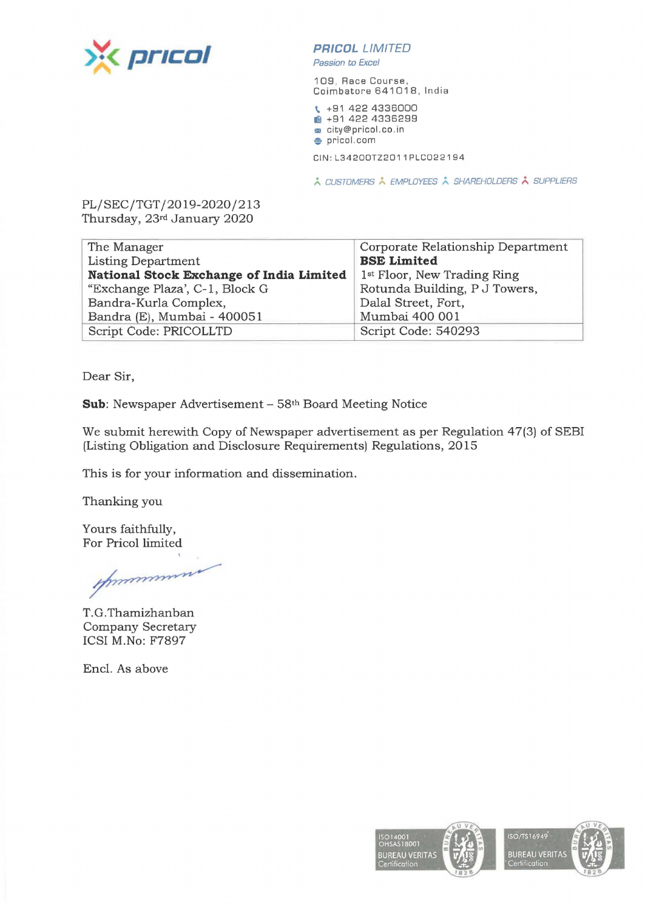

## **PRICDL** LIMITED

Passion to Excel

109, Race Course, Coimbatore 641018, India

\ +91 422 4336000 **iii** +91 422 4336299 **m** city@pricol.co.in

**,e** pricol.com

CIN : L34200TZ2011PLC022194

 $\lambda$  CUSTOMERS  $\lambda$  EMPLOYEES  $\lambda$  SHAREHOLDERS  $\lambda$  SUPPLIERS

PL/SEC/TGT/2019-2020/213 Thursday, 23rd January 2020

| The Manager                              | Corporate Relationship Department       |
|------------------------------------------|-----------------------------------------|
| Listing Department                       | <b>BSE Limited</b>                      |
| National Stock Exchange of India Limited | 1 <sup>st</sup> Floor, New Trading Ring |
| "Exchange Plaza', C-1, Block G           | Rotunda Building, P J Towers,           |
| Bandra-Kurla Complex,                    | Dalal Street, Fort,                     |
| Bandra (E), Mumbai - 400051              | Mumbai 400 001                          |
| Script Code: PRICOLLTD                   | Script Code: 540293                     |

Dear Sir,

**Sub:** Newspaper Advertisement - 58th Board Meeting Notice

We submit herewith Copy of Newspaper advertisement as per Regulation 47(3) of SEBI (Listing Obligation and Disclosure Requirements) Regulations, 2015

This is for your information and dissemination.

Thanking you

Yours faithfully, For Pricol limited

mummun

T. G. Thamizhanban Company Secretary ICSI M.No: F7897

Encl. As above